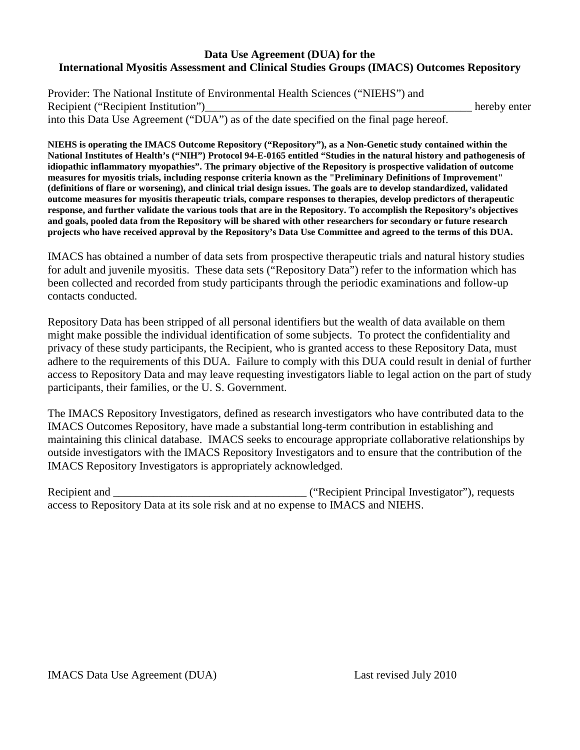#### **Data Use Agreement (DUA) for the International Myositis Assessment and Clinical Studies Groups (IMACS) Outcomes Repository**

Provider: The National Institute of Environmental Health Sciences ("NIEHS") and Recipient ("Recipient Institution")\_\_\_\_\_\_\_\_\_\_\_\_\_\_\_\_\_\_\_\_\_\_\_\_\_\_\_\_\_\_\_\_\_\_\_\_\_\_\_\_\_\_\_\_\_\_\_ hereby enter into this Data Use Agreement ("DUA") as of the date specified on the final page hereof.

**NIEHS is operating the IMACS Outcome Repository ("Repository"), as a Non-Genetic study contained within the National Institutes of Health's ("NIH") Protocol 94-E-0165 entitled "Studies in the natural history and pathogenesis of idiopathic inflammatory myopathies". The primary objective of the Repository is prospective validation of outcome measures for myositis trials, including response criteria known as the "Preliminary Definitions of Improvement" (definitions of flare or worsening), and clinical trial design issues. The goals are to develop standardized, validated outcome measures for myositis therapeutic trials, compare responses to therapies, develop predictors of therapeutic response, and further validate the various tools that are in the Repository. To accomplish the Repository's objectives and goals, pooled data from the Repository will be shared with other researchers for secondary or future research projects who have received approval by the Repository's Data Use Committee and agreed to the terms of this DUA.** 

IMACS has obtained a number of data sets from prospective therapeutic trials and natural history studies for adult and juvenile myositis. These data sets ("Repository Data") refer to the information which has been collected and recorded from study participants through the periodic examinations and follow-up contacts conducted.

Repository Data has been stripped of all personal identifiers but the wealth of data available on them might make possible the individual identification of some subjects. To protect the confidentiality and privacy of these study participants, the Recipient, who is granted access to these Repository Data, must adhere to the requirements of this DUA. Failure to comply with this DUA could result in denial of further access to Repository Data and may leave requesting investigators liable to legal action on the part of study participants, their families, or the U. S. Government.

The IMACS Repository Investigators, defined as research investigators who have contributed data to the IMACS Outcomes Repository, have made a substantial long-term contribution in establishing and maintaining this clinical database. IMACS seeks to encourage appropriate collaborative relationships by outside investigators with the IMACS Repository Investigators and to ensure that the contribution of the IMACS Repository Investigators is appropriately acknowledged.

Recipient and The Company's Company's Company's Company's Company's Section ("Recipient Principal Investigator"), requests access to Repository Data at its sole risk and at no expense to IMACS and NIEHS.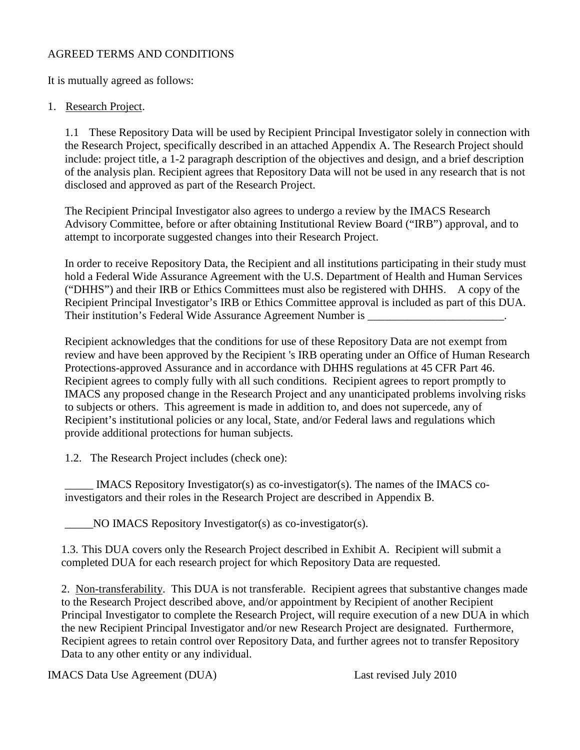## AGREED TERMS AND CONDITIONS

It is mutually agreed as follows:

## 1. Research Project.

1.1 These Repository Data will be used by Recipient Principal Investigator solely in connection with the Research Project, specifically described in an attached Appendix A. The Research Project should include: project title, a 1-2 paragraph description of the objectives and design, and a brief description of the analysis plan. Recipient agrees that Repository Data will not be used in any research that is not disclosed and approved as part of the Research Project.

The Recipient Principal Investigator also agrees to undergo a review by the IMACS Research Advisory Committee, before or after obtaining Institutional Review Board ("IRB") approval, and to attempt to incorporate suggested changes into their Research Project.

In order to receive Repository Data, the Recipient and all institutions participating in their study must hold a Federal Wide Assurance Agreement with the U.S. Department of Health and Human Services ("DHHS") and their IRB or Ethics Committees must also be registered with DHHS. A copy of the Recipient Principal Investigator's IRB or Ethics Committee approval is included as part of this DUA. Their institution's Federal Wide Assurance Agreement Number is \_\_\_\_\_\_\_\_\_\_\_\_\_\_\_\_\_

Recipient acknowledges that the conditions for use of these Repository Data are not exempt from review and have been approved by the Recipient 's IRB operating under an Office of Human Research Protections-approved Assurance and in accordance with DHHS regulations at 45 CFR Part 46. Recipient agrees to comply fully with all such conditions. Recipient agrees to report promptly to IMACS any proposed change in the Research Project and any unanticipated problems involving risks to subjects or others. This agreement is made in addition to, and does not supercede, any of Recipient's institutional policies or any local, State, and/or Federal laws and regulations which provide additional protections for human subjects.

1.2. The Research Project includes (check one):

 $\_$ IMACS Repository Investigator(s) as co-investigator(s). The names of the IMACS coinvestigators and their roles in the Research Project are described in Appendix B.

\_\_\_\_\_NO IMACS Repository Investigator(s) as co-investigator(s).

1.3. This DUA covers only the Research Project described in Exhibit A. Recipient will submit a completed DUA for each research project for which Repository Data are requested.

2. Non-transferability. This DUA is not transferable. Recipient agrees that substantive changes made to the Research Project described above, and/or appointment by Recipient of another Recipient Principal Investigator to complete the Research Project, will require execution of a new DUA in which the new Recipient Principal Investigator and/or new Research Project are designated. Furthermore, Recipient agrees to retain control over Repository Data, and further agrees not to transfer Repository Data to any other entity or any individual.

IMACS Data Use Agreement (DUA) Last revised July 2010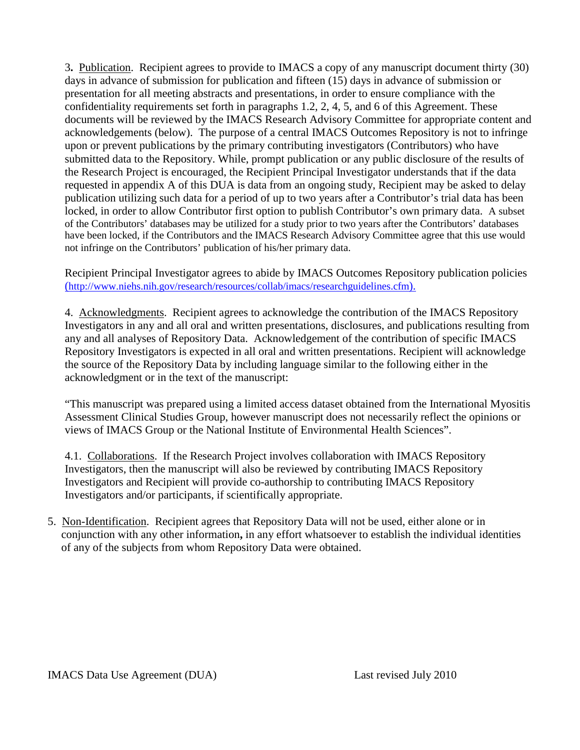3**.** Publication. Recipient agrees to provide to IMACS a copy of any manuscript document thirty (30) days in advance of submission for publication and fifteen (15) days in advance of submission or presentation for all meeting abstracts and presentations, in order to ensure compliance with the confidentiality requirements set forth in paragraphs 1.2, 2, 4, 5, and 6 of this Agreement. These documents will be reviewed by the IMACS Research Advisory Committee for appropriate content and acknowledgements (below). The purpose of a central IMACS Outcomes Repository is not to infringe upon or prevent publications by the primary contributing investigators (Contributors) who have submitted data to the Repository. While, prompt publication or any public disclosure of the results of the Research Project is encouraged, the Recipient Principal Investigator understands that if the data requested in appendix A of this DUA is data from an ongoing study, Recipient may be asked to delay publication utilizing such data for a period of up to two years after a Contributor's trial data has been locked, in order to allow Contributor first option to publish Contributor's own primary data. A subset of the Contributors' databases may be utilized for a study prior to two years after the Contributors' databases have been locked, if the Contributors and the IMACS Research Advisory Committee agree that this use would not infringe on the Contributors' publication of his/her primary data.

Recipient Principal Investigator agrees to abide by IMACS Outcomes Repository publication policies [\(http://www.niehs.nih.gov/research/resources/collab/imacs/researchguidelines.cfm\).](http://www.niehs.nih.gov/research/resources/collab/imacs/researchguidelines.cfm)

4. Acknowledgments. Recipient agrees to acknowledge the contribution of the IMACS Repository Investigators in any and all oral and written presentations, disclosures, and publications resulting from any and all analyses of Repository Data. Acknowledgement of the contribution of specific IMACS Repository Investigators is expected in all oral and written presentations. Recipient will acknowledge the source of the Repository Data by including language similar to the following either in the acknowledgment or in the text of the manuscript:

"This manuscript was prepared using a limited access dataset obtained from the International Myositis Assessment Clinical Studies Group, however manuscript does not necessarily reflect the opinions or views of IMACS Group or the National Institute of Environmental Health Sciences".

4.1. Collaborations. If the Research Project involves collaboration with IMACS Repository Investigators, then the manuscript will also be reviewed by contributing IMACS Repository Investigators and Recipient will provide co-authorship to contributing IMACS Repository Investigators and/or participants, if scientifically appropriate.

5. Non-Identification. Recipient agrees that Repository Data will not be used, either alone or in conjunction with any other information**,** in any effort whatsoever to establish the individual identities of any of the subjects from whom Repository Data were obtained.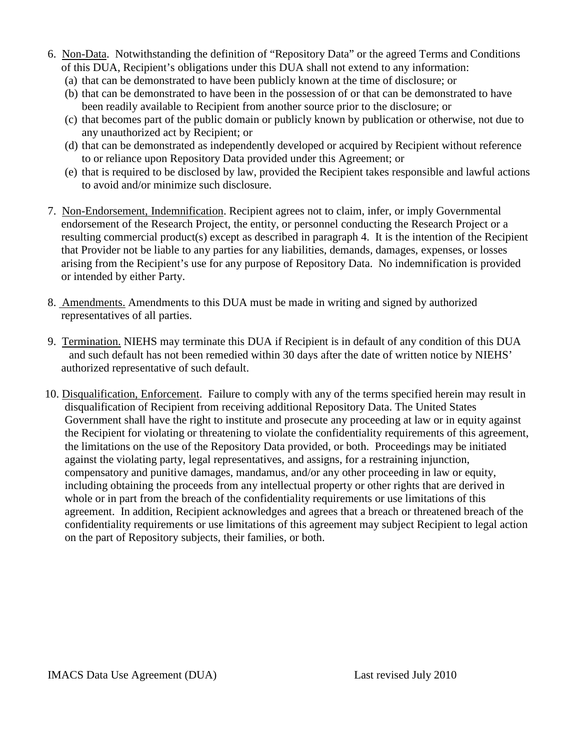- 6. Non-Data. Notwithstanding the definition of "Repository Data" or the agreed Terms and Conditions of this DUA, Recipient's obligations under this DUA shall not extend to any information:
	- (a) that can be demonstrated to have been publicly known at the time of disclosure; or
	- (b) that can be demonstrated to have been in the possession of or that can be demonstrated to have been readily available to Recipient from another source prior to the disclosure; or
	- (c) that becomes part of the public domain or publicly known by publication or otherwise, not due to any unauthorized act by Recipient; or
	- (d) that can be demonstrated as independently developed or acquired by Recipient without reference to or reliance upon Repository Data provided under this Agreement; or
	- (e) that is required to be disclosed by law, provided the Recipient takes responsible and lawful actions to avoid and/or minimize such disclosure.
- 7. Non-Endorsement, Indemnification. Recipient agrees not to claim, infer, or imply Governmental endorsement of the Research Project, the entity, or personnel conducting the Research Project or a resulting commercial product(s) except as described in paragraph 4. It is the intention of the Recipient that Provider not be liable to any parties for any liabilities, demands, damages, expenses, or losses arising from the Recipient's use for any purpose of Repository Data. No indemnification is provided or intended by either Party.
- 8. Amendments. Amendments to this DUA must be made in writing and signed by authorized representatives of all parties.
- 9. Termination. NIEHS may terminate this DUA if Recipient is in default of any condition of this DUA and such default has not been remedied within 30 days after the date of written notice by NIEHS' authorized representative of such default.
- 10. Disqualification, Enforcement. Failure to comply with any of the terms specified herein may result in disqualification of Recipient from receiving additional Repository Data. The United States Government shall have the right to institute and prosecute any proceeding at law or in equity against the Recipient for violating or threatening to violate the confidentiality requirements of this agreement, the limitations on the use of the Repository Data provided, or both. Proceedings may be initiated against the violating party, legal representatives, and assigns, for a restraining injunction, compensatory and punitive damages, mandamus, and/or any other proceeding in law or equity, including obtaining the proceeds from any intellectual property or other rights that are derived in whole or in part from the breach of the confidentiality requirements or use limitations of this agreement. In addition, Recipient acknowledges and agrees that a breach or threatened breach of the confidentiality requirements or use limitations of this agreement may subject Recipient to legal action on the part of Repository subjects, their families, or both.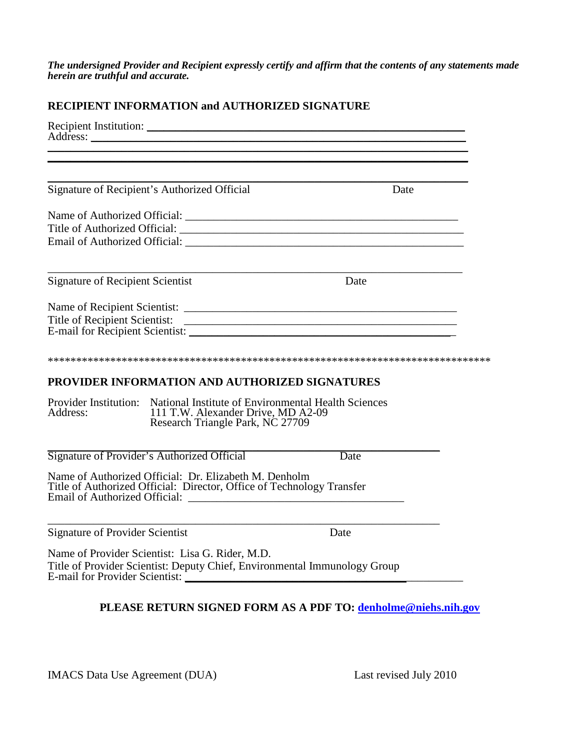*The undersigned Provider and Recipient expressly certify and affirm that the contents of any statements made herein are truthful and accurate.*

### **RECIPIENT INFORMATION and AUTHORIZED SIGNATURE**

|                                         |                                                                                                                                                     | <u> 1989 - Johann Stoff, amerikansk politiker (d. 1989)</u> |  |
|-----------------------------------------|-----------------------------------------------------------------------------------------------------------------------------------------------------|-------------------------------------------------------------|--|
|                                         |                                                                                                                                                     |                                                             |  |
|                                         | Signature of Recipient's Authorized Official                                                                                                        | Date                                                        |  |
|                                         |                                                                                                                                                     |                                                             |  |
|                                         |                                                                                                                                                     |                                                             |  |
|                                         |                                                                                                                                                     |                                                             |  |
| <b>Signature of Recipient Scientist</b> |                                                                                                                                                     | Date                                                        |  |
|                                         |                                                                                                                                                     |                                                             |  |
|                                         |                                                                                                                                                     |                                                             |  |
|                                         |                                                                                                                                                     |                                                             |  |
|                                         | PROVIDER INFORMATION AND AUTHORIZED SIGNATURES                                                                                                      |                                                             |  |
| Address:                                | Provider Institution: National Institute of Environmental Health Sciences<br>111 T.W. Alexander Drive, MD A2-09<br>Research Triangle Park, NC 27709 |                                                             |  |
|                                         | Signature of Provider's Authorized Official                                                                                                         | Date                                                        |  |
|                                         | Name of Authorized Official: Dr. Elizabeth M. Denholm<br>Title of Authorized Official: Director, Office of Technology Transfer                      |                                                             |  |
| <b>Signature of Provider Scientist</b>  |                                                                                                                                                     | Date                                                        |  |
| <b>E-mail for Provider Scientist:</b>   | Name of Provider Scientist: Lisa G. Rider, M.D.<br>Title of Provider Scientist: Deputy Chief, Environmental Immunology Group                        |                                                             |  |

## **PLEASE RETURN SIGNED FORM AS A PDF TO: [denholme@niehs.nih.gov](mailto:denholme@niehs.nih.gov)**

IMACS Data Use Agreement (DUA) Last revised July 2010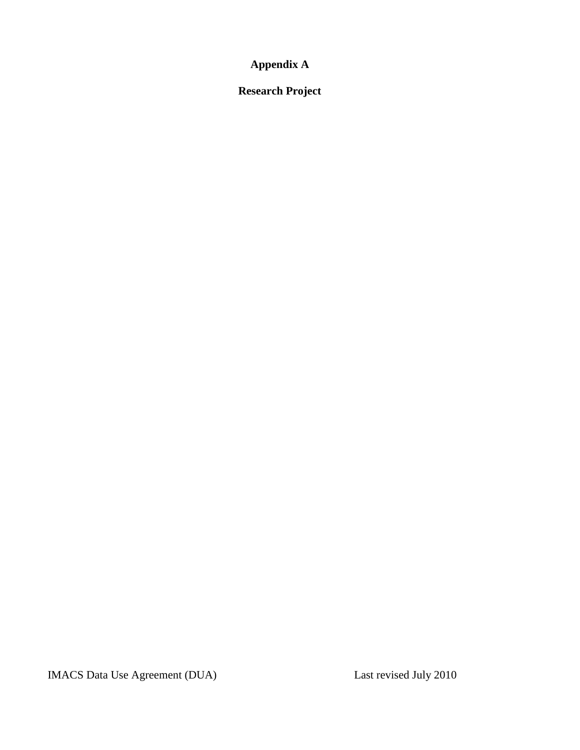**Appendix A** 

**Research Project**

IMACS Data Use Agreement (DUA) Last revised July 2010